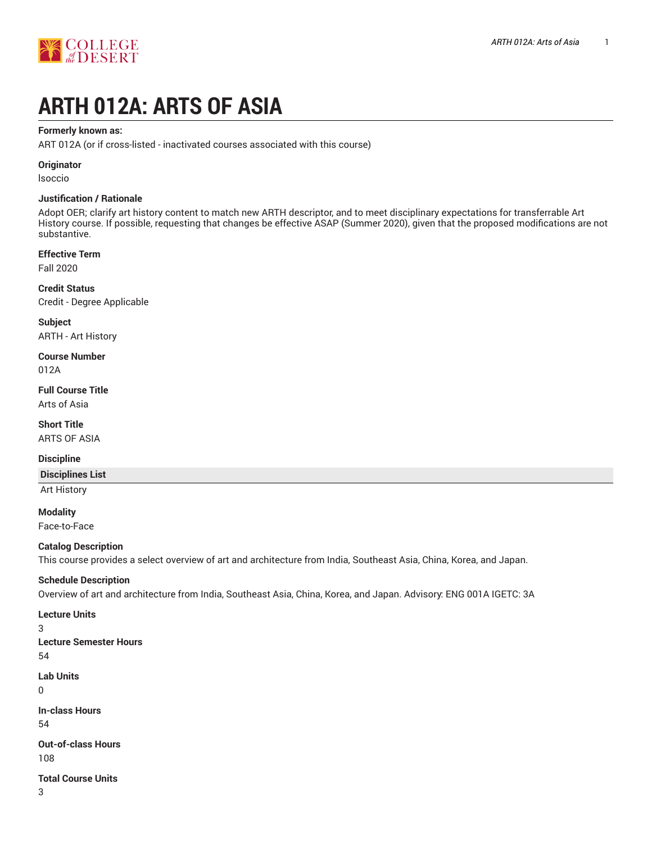

# **ARTH 012A: ARTS OF ASIA**

### **Formerly known as:**

ART 012A (or if cross-listed - inactivated courses associated with this course)

## **Originator**

lsoccio

## **Justification / Rationale**

Adopt OER; clarify art history content to match new ARTH descriptor, and to meet disciplinary expectations for transferrable Art History course. If possible, requesting that changes be effective ASAP (Summer 2020), given that the proposed modifications are not substantive.

#### **Effective Term**

Fall 2020

**Credit Status** Credit - Degree Applicable

**Subject** ARTH - Art History

**Course Number** 012A

**Full Course Title** Arts of Asia

**Short Title** ARTS OF ASIA

#### **Discipline**

## **Disciplines List**

Art History

**Modality** Face-to-Face

## **Catalog Description**

This course provides a select overview of art and architecture from India, Southeast Asia, China, Korea, and Japan.

## **Schedule Description**

Overview of art and architecture from India, Southeast Asia, China, Korea, and Japan. Advisory: ENG 001A IGETC: 3A

#### **Lecture Units**

3

- **Lecture Semester Hours** 54
- **Lab Units**
- 0

**In-class Hours** 54

**Out-of-class Hours** 108

#### **Total Course Units**

3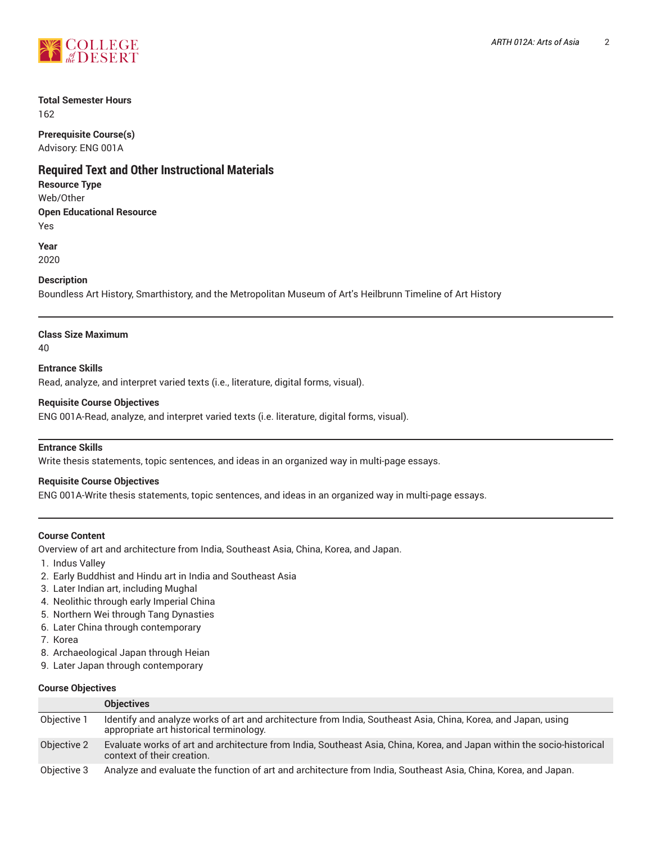

## **Total Semester Hours**

162

**Prerequisite Course(s)** Advisory: ENG 001A

# **Required Text and Other Instructional Materials**

**Resource Type**

Web/Other **Open Educational Resource**

Yes

**Year** 2020

## **Description**

Boundless Art History, Smarthistory, and the Metropolitan Museum of Art's Heilbrunn Timeline of Art History

# **Class Size Maximum**

40

**Entrance Skills** Read, analyze, and interpret varied texts (i.e., literature, digital forms, visual).

## **Requisite Course Objectives**

ENG 001A-Read, analyze, and interpret varied texts (i.e. literature, digital forms, visual).

## **Entrance Skills**

Write thesis statements, topic sentences, and ideas in an organized way in multi-page essays.

## **Requisite Course Objectives**

ENG 001A-Write thesis statements, topic sentences, and ideas in an organized way in multi-page essays.

## **Course Content**

Overview of art and architecture from India, Southeast Asia, China, Korea, and Japan.

- 1. Indus Valley
- 2. Early Buddhist and Hindu art in India and Southeast Asia
- 3. Later Indian art, including Mughal
- 4. Neolithic through early Imperial China
- 5. Northern Wei through Tang Dynasties
- 6. Later China through contemporary
- 7. Korea
- 8. Archaeological Japan through Heian
- 9. Later Japan through contemporary

## **Course Objectives**

|             | <b>Objectives</b>                                                                                                                                        |
|-------------|----------------------------------------------------------------------------------------------------------------------------------------------------------|
| Objective 1 | Identify and analyze works of art and architecture from India, Southeast Asia, China, Korea, and Japan, using<br>appropriate art historical terminology. |
| Objective 2 | Evaluate works of art and architecture from India, Southeast Asia, China, Korea, and Japan within the socio-historical<br>context of their creation.     |
| Objective 3 | Analyze and evaluate the function of art and architecture from India, Southeast Asia, China, Korea, and Japan.                                           |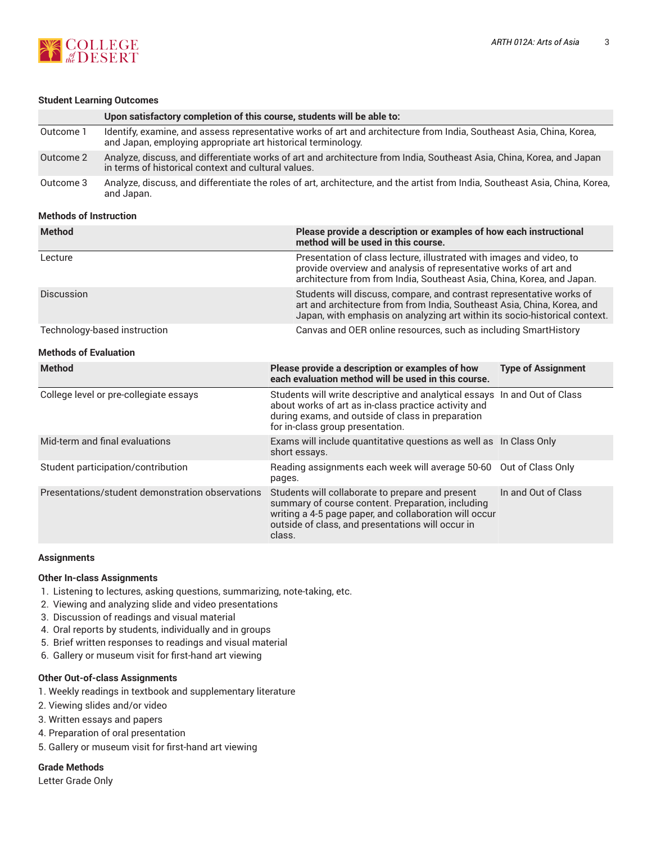



#### **Student Learning Outcomes**

|           | Upon satisfactory completion of this course, students will be able to:                                                                                                               |
|-----------|--------------------------------------------------------------------------------------------------------------------------------------------------------------------------------------|
| Outcome 1 | Identify, examine, and assess representative works of art and architecture from India, Southeast Asia, China, Korea,<br>and Japan, employing appropriate art historical terminology. |
| Outcome 2 | Analyze, discuss, and differentiate works of art and architecture from India, Southeast Asia, China, Korea, and Japan<br>in terms of historical context and cultural values.         |
| Outcome 3 | Analyze, discuss, and differentiate the roles of art, architecture, and the artist from India, Southeast Asia, China, Korea,<br>and Japan.                                           |

#### **Methods of Instruction**

| <b>Method</b>                                    | Please provide a description or examples of how each instructional<br>method will be used in this course.                                                                                                                      |                           |  |  |  |
|--------------------------------------------------|--------------------------------------------------------------------------------------------------------------------------------------------------------------------------------------------------------------------------------|---------------------------|--|--|--|
| Lecture                                          | Presentation of class lecture, illustrated with images and video, to<br>provide overview and analysis of representative works of art and<br>architecture from from India, Southeast Asia, China, Korea, and Japan.             |                           |  |  |  |
| Discussion                                       | Students will discuss, compare, and contrast representative works of<br>art and architecture from from India, Southeast Asia, China, Korea, and<br>Japan, with emphasis on analyzing art within its socio-historical context.  |                           |  |  |  |
| Technology-based instruction                     | Canvas and OER online resources, such as including SmartHistory                                                                                                                                                                |                           |  |  |  |
| <b>Methods of Evaluation</b>                     |                                                                                                                                                                                                                                |                           |  |  |  |
| <b>Method</b>                                    | Please provide a description or examples of how<br>each evaluation method will be used in this course.                                                                                                                         | <b>Type of Assignment</b> |  |  |  |
| College level or pre-collegiate essays           | Students will write descriptive and analytical essays In and Out of Class<br>about works of art as in-class practice activity and<br>during exams, and outside of class in preparation<br>for in-class group presentation.     |                           |  |  |  |
| Mid-term and final evaluations                   | Exams will include quantitative questions as well as In Class Only<br>short essays.                                                                                                                                            |                           |  |  |  |
| Student participation/contribution               | Reading assignments each week will average 50-60<br>pages.                                                                                                                                                                     | Out of Class Only         |  |  |  |
| Presentations/student demonstration observations | Students will collaborate to prepare and present<br>summary of course content. Preparation, including<br>writing a 4-5 page paper, and collaboration will occur<br>outside of class, and presentations will occur in<br>class. | In and Out of Class       |  |  |  |

#### **Assignments**

#### **Other In-class Assignments**

- 1. Listening to lectures, asking questions, summarizing, note-taking, etc.
- 2. Viewing and analyzing slide and video presentations
- 3. Discussion of readings and visual material
- 4. Oral reports by students, individually and in groups
- 5. Brief written responses to readings and visual material
- 6. Gallery or museum visit for first-hand art viewing

#### **Other Out-of-class Assignments**

- 1. Weekly readings in textbook and supplementary literature
- 2. Viewing slides and/or video
- 3. Written essays and papers
- 4. Preparation of oral presentation
- 5. Gallery or museum visit for first-hand art viewing

#### **Grade Methods**

Letter Grade Only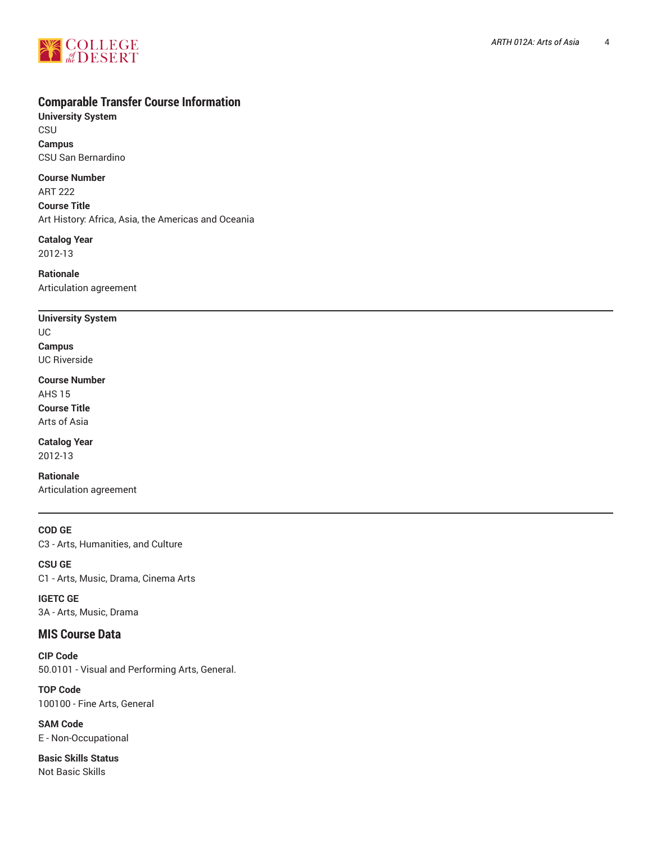

# **Comparable Transfer Course Information**

**University System** CSU **Campus** CSU San Bernardino

**Course Number**

ART 222 **Course Title** Art History: Africa, Asia, the Americas and Oceania

**Catalog Year** 2012-13

**Rationale** Articulation agreement

## **University System**

UC **Campus** UC Riverside

**Course Number** AHS 15 **Course Title** Arts of Asia

**Catalog Year** 2012-13

**Rationale** Articulation agreement

**COD GE** C3 - Arts, Humanities, and Culture

**CSU GE** C1 - Arts, Music, Drama, Cinema Arts

**IGETC GE** 3A - Arts, Music, Drama

# **MIS Course Data**

**CIP Code** 50.0101 - Visual and Performing Arts, General.

**TOP Code** 100100 - Fine Arts, General

**SAM Code** E - Non-Occupational

**Basic Skills Status** Not Basic Skills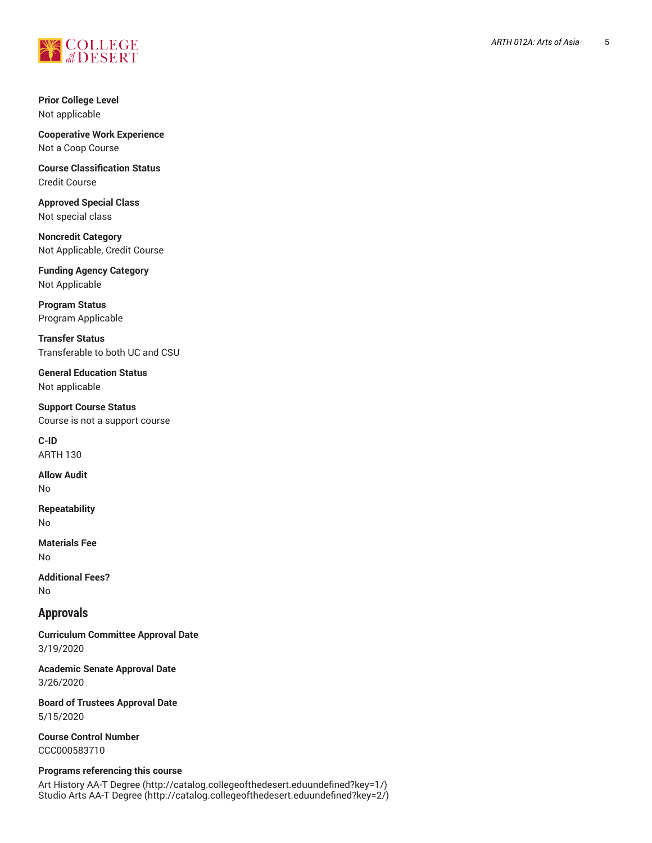

**Prior College Level** Not applicable

**Cooperative Work Experience** Not a Coop Course

**Course Classification Status** Credit Course

**Approved Special Class** Not special class

**Noncredit Category** Not Applicable, Credit Course

**Funding Agency Category** Not Applicable

**Program Status** Program Applicable

**Transfer Status** Transferable to both UC and CSU

**General Education Status** Not applicable

**Support Course Status** Course is not a support course

**C-ID** ARTH 130

**Allow Audit** No

**Repeatability** No

**Materials Fee** No

**Additional Fees?** No

## **Approvals**

**Curriculum Committee Approval Date** 3/19/2020

**Academic Senate Approval Date** 3/26/2020

**Board of Trustees Approval Date** 5/15/2020

**Course Control Number** CCC000583710

#### **Programs referencing this course**

Art [History](http://catalog.collegeofthedesert.eduundefined?key=1/) AA-T Degree ([http://catalog.collegeofthedesert.eduundefined?key=1/\)](http://catalog.collegeofthedesert.eduundefined?key=1/) Studio Arts AA-T [Degree](http://catalog.collegeofthedesert.eduundefined?key=2/) ([http://catalog.collegeofthedesert.eduundefined?key=2/\)](http://catalog.collegeofthedesert.eduundefined?key=2/)